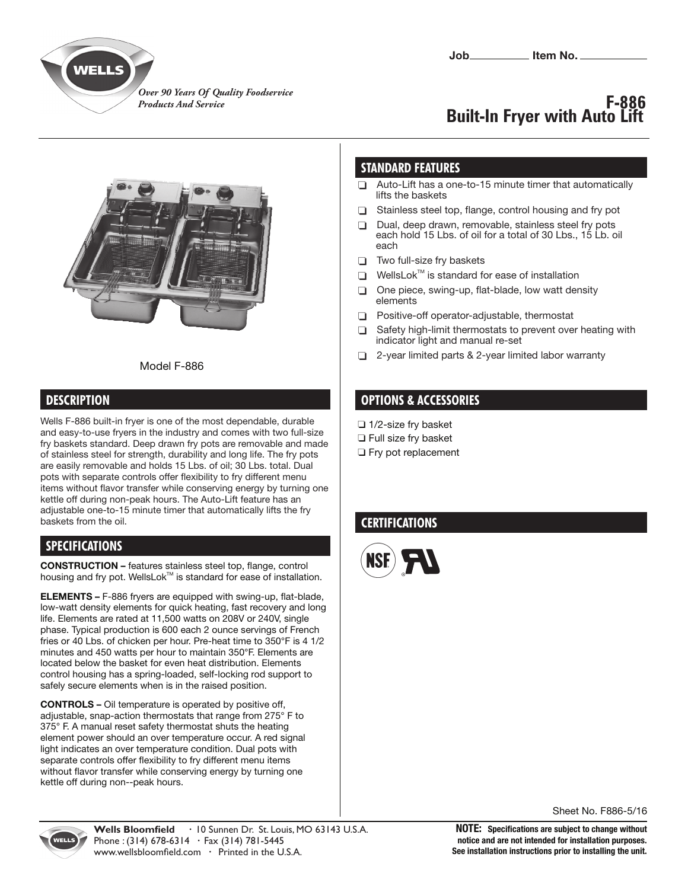

*Over 90 Years Of Quality Foodservice Products And Service*

# **F-886 Built-In Fryer with Auto Lift**



#### Model F-886

#### **DESCRIPTION**

Wells F-886 built-in fryer is one of the most dependable, durable and easy-to-use fryers in the industry and comes with two full-size fry baskets standard. Deep drawn fry pots are removable and made of stainless steel for strength, durability and long life. The fry pots are easily removable and holds 15 Lbs. of oil; 30 Lbs. total. Dual pots with separate controls offer flexibility to fry different menu items without flavor transfer while conserving energy by turning one kettle off during non-peak hours. The Auto-Lift feature has an adjustable one-to-15 minute timer that automatically lifts the fry baskets from the oil.

#### **SPECIFICATIONS**

**CONSTRUCTION –** features stainless steel top, flange, control housing and fry pot. WellsLok™ is standard for ease of installation.

**ELEMENTS –** F-886 fryers are equipped with swing-up, flat-blade, low-watt density elements for quick heating, fast recovery and long life. Elements are rated at 11,500 watts on 208V or 240V, single phase. Typical production is 600 each 2 ounce servings of French fries or 40 Lbs. of chicken per hour. Pre-heat time to 350°F is 4 1/2 minutes and 450 watts per hour to maintain 350°F. Elements are located below the basket for even heat distribution. Elements control housing has a spring-loaded, self-locking rod support to safely secure elements when is in the raised position.

**CONTROLS –** Oil temperature is operated by positive off, adjustable, snap-action thermostats that range from 275° F to 375° F. A manual reset safety thermostat shuts the heating element power should an over temperature occur. A red signal light indicates an over temperature condition. Dual pots with separate controls offer flexibility to fry different menu items without flavor transfer while conserving energy by turning one kettle off during non--peak hours.

### **STANDARD FEATURES**

- $\Box$  Auto-Lift has a one-to-15 minute timer that automatically lifts the baskets
- $\Box$ Stainless steel top, flange, control housing and fry pot
- □ Dual, deep drawn, removable, stainless steel fry pots each hold 15 Lbs. of oil for a total of 30 Lbs., 15 Lb. oil each
- □ Two full-size fry baskets
- $\Box$  WellsLok<sup>TM</sup> is standard for ease of installation
- $\Box$  One piece, swing-up, flat-blade, low watt density elements
- $\Box$ Positive-off operator-adjustable, thermostat
- $\Box$  Safety high-limit thermostats to prevent over heating with indicator light and manual re-set
- □ 2-year limited parts & 2-year limited labor warranty

#### **OPTIONS & ACCESSORIES**

- 1/2-size fry basket
- **T** Full size fry basket
- **Fry pot replacement**

## **CERTIFICATIONS**



Sheet No. F886-5/16